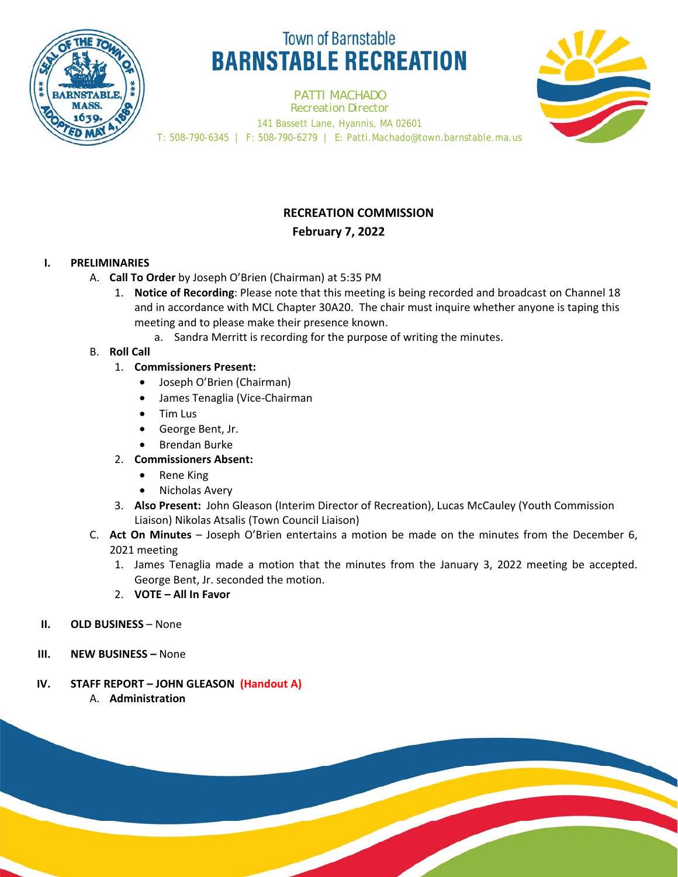

# **Town of Barnstable BARNSTABLE RECREATION**

PATTI MACHADO *Recreation Director* 141 Bassett Lane, Hyannis, MA 02601 T: 508-790-6345 | F: 508-790-6279 | E: Patti.Machado@town.barnstable.ma.us



### **RECREATION COMMISSION February 7, 2022**

## **I. PRELIMINARIES**

- A. **Call To Order** by Joseph O'Brien (Chairman) at 5:35 PM
	- 1. **Notice of Recording**: Please note that this meeting is being recorded and broadcast on Channel 18 and in accordance with MCL Chapter 30A20. The chair must inquire whether anyone is taping this meeting and to please make their presence known.
		- a. Sandra Merritt is recording for the purpose of writing the minutes.

### B. **Roll Call**

- 1. **Commissioners Present:** 
	- Joseph O'Brien (Chairman)
	- James Tenaglia (Vice-Chairman
	- Tim Lus
	- George Bent, Jr.
	- Brendan Burke
- 2. **Commissioners Absent:** 
	- Rene King
	- Nicholas Avery
- 3. **Also Present:** John Gleason (Interim Director of Recreation), Lucas McCauley (Youth Commission Liaison) Nikolas Atsalis (Town Council Liaison)
- C. **Act On Minutes**  Joseph O'Brien entertains a motion be made on the minutes from the December 6, 2021 meeting
	- 1. James Tenaglia made a motion that the minutes from the January 3, 2022 meeting be accepted. George Bent, Jr. seconded the motion.
	- 2. **VOTE All In Favor**
- **II. OLD BUSINESS**  None
- **III. NEW BUSINESS** None
- **IV. STAFF REPORT JOHN GLEASON (Handout A)** 
	- A. **Administration**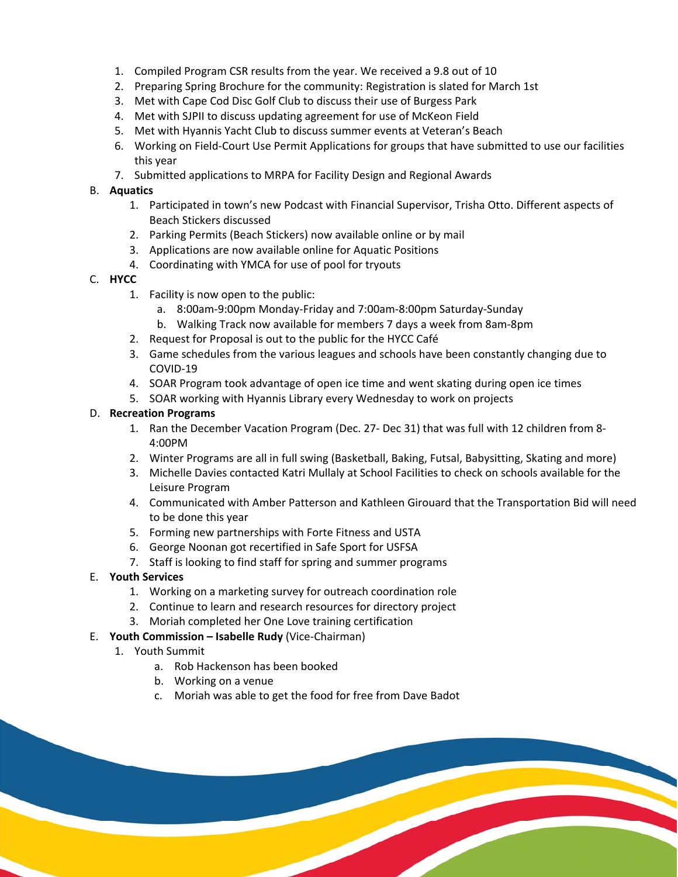- 1. Compiled Program CSR results from the year. We received a 9.8 out of 10
- 2. Preparing Spring Brochure for the community: Registration is slated for March 1st
- 3. Met with Cape Cod Disc Golf Club to discuss their use of Burgess Park
- 4. Met with SJPII to discuss updating agreement for use of McKeon Field
- 5. Met with Hyannis Yacht Club to discuss summer events at Veteran's Beach
- 6. Working on Field-Court Use Permit Applications for groups that have submitted to use our facilities this year
- 7. Submitted applications to MRPA for Facility Design and Regional Awards

### B. **Aquatics**

- 1. Participated in town's new Podcast with Financial Supervisor, Trisha Otto. Different aspects of Beach Stickers discussed
- 2. Parking Permits (Beach Stickers) now available online or by mail
- 3. Applications are now available online for Aquatic Positions
- 4. Coordinating with YMCA for use of pool for tryouts

### C. **HYCC**

- 1. Facility is now open to the public:
	- a. 8:00am-9:00pm Monday-Friday and 7:00am-8:00pm Saturday-Sunday
	- b. Walking Track now available for members 7 days a week from 8am-8pm
- 2. Request for Proposal is out to the public for the HYCC Café
- 3. Game schedules from the various leagues and schools have been constantly changing due to COVID-19
- 4. SOAR Program took advantage of open ice time and went skating during open ice times
- 5. SOAR working with Hyannis Library every Wednesday to work on projects

### D. **Recreation Programs**

- 1. Ran the December Vacation Program (Dec. 27- Dec 31) that was full with 12 children from 8- 4:00PM
- 2. Winter Programs are all in full swing (Basketball, Baking, Futsal, Babysitting, Skating and more)
- 3. Michelle Davies contacted Katri Mullaly at School Facilities to check on schools available for the Leisure Program
- 4. Communicated with Amber Patterson and Kathleen Girouard that the Transportation Bid will need to be done this year
- 5. Forming new partnerships with Forte Fitness and USTA
- 6. George Noonan got recertified in Safe Sport for USFSA
- 7. Staff is looking to find staff for spring and summer programs
- E. **Youth Services** 
	- 1. Working on a marketing survey for outreach coordination role
	- 2. Continue to learn and research resources for directory project
	- 3. Moriah completed her One Love training certification

### E. **Youth Commission – Isabelle Rudy** (Vice-Chairman)

- 1. Youth Summit
	- a. Rob Hackenson has been booked
	- b. Working on a venue
	- c. Moriah was able to get the food for free from Dave Badot